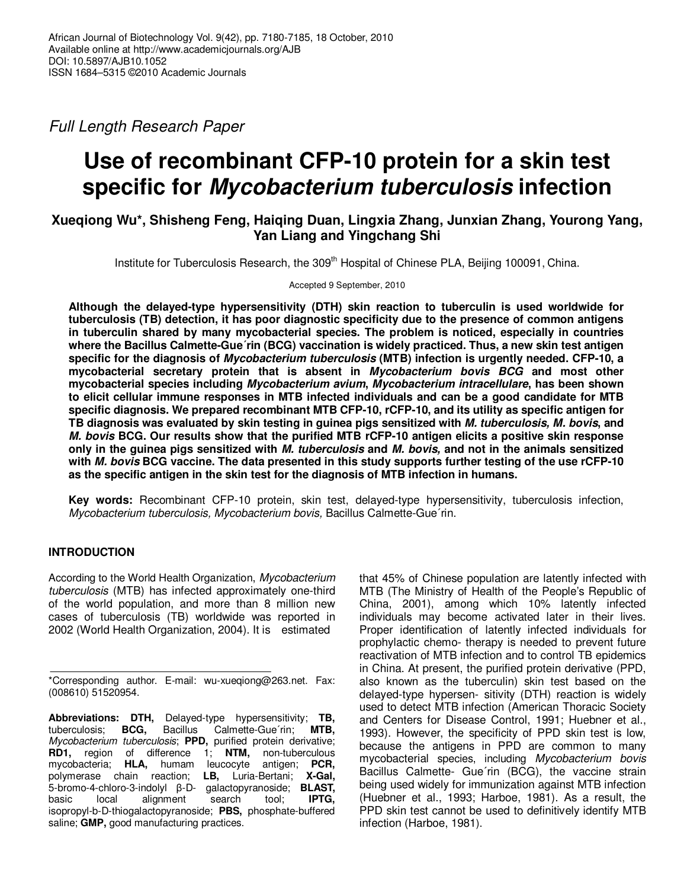Full Length Research Paper

# **Use of recombinant CFP-10 protein for a skin test specific for Mycobacterium tuberculosis infection**

# **Xueqiong Wu\*, Shisheng Feng, Haiqing Duan, Lingxia Zhang, Junxian Zhang, Yourong Yang, Yan Liang and Yingchang Shi**

Institute for Tuberculosis Research, the 309<sup>th</sup> Hospital of Chinese PLA, Beijing 100091, China.

Accepted 9 September, 2010

**Although the delayed-type hypersensitivity (DTH) skin reaction to tuberculin is used worldwide for tuberculosis (TB) detection, it has poor diagnostic specificity due to the presence of common antigens in tuberculin shared by many mycobacterial species. The problem is noticed, especially in countries where the Bacillus Calmette-Gue´rin (BCG) vaccination is widely practiced. Thus, a new skin test antigen specific for the diagnosis of Mycobacterium tuberculosis (MTB) infection is urgently needed. CFP-10, a mycobacterial secretary protein that is absent in Mycobacterium bovis BCG and most other mycobacterial species including Mycobacterium avium, Mycobacterium intracellulare, has been shown to elicit cellular immune responses in MTB infected individuals and can be a good candidate for MTB specific diagnosis. We prepared recombinant MTB CFP-10, rCFP-10, and its utility as specific antigen for TB diagnosis was evaluated by skin testing in guinea pigs sensitized with M. tuberculosis, M. bovis, and M. bovis BCG. Our results show that the purified MTB rCFP-10 antigen elicits a positive skin response only in the guinea pigs sensitized with M. tuberculosis and M. bovis, and not in the animals sensitized with M. bovis BCG vaccine. The data presented in this study supports further testing of the use rCFP-10 as the specific antigen in the skin test for the diagnosis of MTB infection in humans.** 

**Key words:** Recombinant CFP-10 protein, skin test, delayed-type hypersensitivity, tuberculosis infection, Mycobacterium tuberculosis, Mycobacterium bovis, Bacillus Calmette-Gue´rin.

## **INTRODUCTION**

According to the World Health Organization, Mycobacterium tuberculosis (MTB) has infected approximately one-third of the world population, and more than 8 million new cases of tuberculosis (TB) worldwide was reported in 2002 (World Health Organization, 2004). It is estimated

that 45% of Chinese population are latently infected with MTB (The Ministry of Health of the People's Republic of China, 2001), among which 10% latently infected individuals may become activated later in their lives. Proper identification of latently infected individuals for prophylactic chemo- therapy is needed to prevent future reactivation of MTB infection and to control TB epidemics in China. At present, the purified protein derivative (PPD, also known as the tuberculin) skin test based on the delayed-type hypersen- sitivity (DTH) reaction is widely used to detect MTB infection (American Thoracic Society and Centers for Disease Control, 1991; Huebner et al., 1993). However, the specificity of PPD skin test is low, because the antigens in PPD are common to many mycobacterial species, including Mycobacterium bovis Bacillus Calmette- Gue´rin (BCG), the vaccine strain being used widely for immunization against MTB infection (Huebner et al., 1993; Harboe, 1981). As a result, the PPD skin test cannot be used to definitively identify MTB infection (Harboe, 1981).

<sup>\*</sup>Corresponding author. E-mail: wu-xueqiong@263.net. Fax: (008610) 51520954.

**Abbreviations: DTH,** Delayed-type hypersensitivity; **TB,** tuberculosis; **BCG,** Mycobacterium tuberculosis; **PPD,** purified protein derivative; **RD1,** region of difference 1; **NTM,** non-tuberculous mycobacteria; **HLA,** humam leucocyte antigen; **PCR,** polymerase chain reaction; **LB,** Luria-Bertani; **X-Gal,** 5-bromo-4-chloro-3-indolyl β-D- galactopyranoside; **BLAST,** basic local alignment search tool; **IPTG,** isopropyl-b-D-thiogalactopyranoside; **PBS,** phosphate-buffered saline; **GMP,** good manufacturing practices.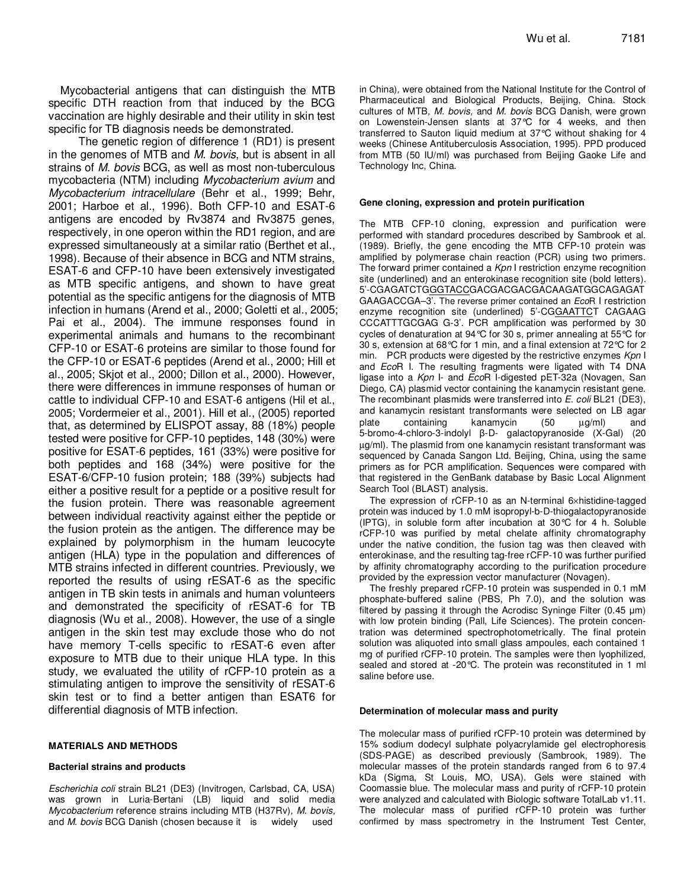Mycobacterial antigens that can distinguish the MTB specific DTH reaction from that induced by the BCG vaccination are highly desirable and their utility in skin test specific for TB diagnosis needs be demonstrated.

The genetic region of difference 1 (RD1) is present in the genomes of MTB and M. bovis, but is absent in all strains of M. bovis BCG, as well as most non-tuberculous mycobacteria (NTM) including Mycobacterium avium and Mycobacterium intracellulare (Behr et al., 1999; Behr, 2001; Harboe et al., 1996). Both CFP-10 and ESAT-6 antigens are encoded by Rv3874 and Rv3875 genes, respectively, in one operon within the RD1 region, and are expressed simultaneously at a similar ratio (Berthet et al., 1998). Because of their absence in BCG and NTM strains, ESAT-6 and CFP-10 have been extensively investigated as MTB specific antigens, and shown to have great potential as the specific antigens for the diagnosis of MTB infection in humans (Arend et al., 2000; Goletti et al., 2005; Pai et al., 2004). The immune responses found in experimental animals and humans to the recombinant CFP-10 or ESAT-6 proteins are similar to those found for the CFP-10 or ESAT-6 peptides (Arend et al., 2000; Hill et al., 2005; Skjot et al., 2000; Dillon et al., 2000). However, there were differences in immune responses of human or cattle to individual CFP-10 and ESAT-6 antigens (Hil et al., 2005; Vordermeier et al., 2001). Hill et al., (2005) reported that, as determined by ELISPOT assay, 88 (18%) people tested were positive for CFP-10 peptides, 148 (30%) were positive for ESAT-6 peptides, 161 (33%) were positive for both peptides and 168 (34%) were positive for the ESAT-6/CFP-10 fusion protein; 188 (39%) subjects had either a positive result for a peptide or a positive result for the fusion protein. There was reasonable agreement between individual reactivity against either the peptide or the fusion protein as the antigen. The difference may be explained by polymorphism in the humam leucocyte antigen (HLA) type in the population and differences of MTB strains infected in different countries. Previously, we reported the results of using rESAT-6 as the specific antigen in TB skin tests in animals and human volunteers and demonstrated the specificity of rESAT-6 for TB diagnosis (Wu et al., 2008). However, the use of a single antigen in the skin test may exclude those who do not have memory T-cells specific to rESAT-6 even after exposure to MTB due to their unique HLA type. In this study, we evaluated the utility of rCFP-10 protein as a stimulating antigen to improve the sensitivity of rESAT-6 skin test or to find a better antigen than ESAT6 for differential diagnosis of MTB infection.

### **MATERIALS AND METHODS**

#### **Bacterial strains and products**

Escherichia coli strain BL21 (DE3) (Invitrogen, Carlsbad, CA, USA) was grown in Luria-Bertani (LB) liquid and solid media Mycobacterium reference strains including MTB (H37Rv), M. bovis, and M. bovis BCG Danish (chosen because it is widely used

in China), were obtained from the National Institute for the Control of Pharmaceutical and Biological Products, Beijing, China. Stock cultures of MTB, M. bovis, and M. bovis BCG Danish, were grown on Lowenstein-Jensen slants at 37°C for 4 weeks, and then transferred to Sauton liquid medium at 37°C without shaking for 4 weeks (Chinese Antituberculosis Association, 1995). PPD produced from MTB (50 IU/ml) was purchased from Beijing Gaoke Life and Technology Inc, China.

#### **Gene cloning, expression and protein purification**

The MTB CFP-10 cloning, expression and purification were performed with standard procedures described by Sambrook et al. (1989). Briefly, the gene encoding the MTB CFP-10 protein was amplified by polymerase chain reaction (PCR) using two primers. The forward primer contained a Kpn I restriction enzyme recognition site (underlined) and an enterokinase recognition site (bold letters). 5'-CGAGATCTGGGTACCGACGACGACGACAAGATGGCAGAGAT GAAGACCGA–3'. The reverse primer contained an EcoR I restriction enzyme recognition site (underlined) 5'-CGGAATTCT CAGAAG CCCATTTGCGAG G-3'. PCR amplification was performed by 30 cycles of denaturation at 94°C for 30 s, primer annealing at 55°C for 30 s, extension at 68°C for 1 min, and a final extension at 72°C for 2 min. PCR products were digested by the restrictive enzymes  $Kpn$  I and EcoR I. The resulting fragments were ligated with T4 DNA ligase into a Kpn I- and EcoR I-digested pET-32a (Novagen, San Diego, CA) plasmid vector containing the kanamycin resistant gene. The recombinant plasmids were transferred into E. coli BL21 (DE3), and kanamycin resistant transformants were selected on LB agar plate containing kanamycin (50 µg/ml) and 5-bromo-4-chloro-3-indolyl β-D- galactopyranoside (X-Gal) (20 µg/ml). The plasmid from one kanamycin resistant transformant was sequenced by Canada Sangon Ltd. Beijing, China, using the same primers as for PCR amplification. Sequences were compared with that registered in the GenBank database by Basic Local Alignment Search Tool (BLAST) analysis.

The expression of rCFP-10 as an N-terminal 6×histidine-tagged protein was induced by 1.0 mM isopropyl-b-D-thiogalactopyranoside (IPTG), in soluble form after incubation at 30°C for 4 h. Soluble rCFP-10 was purified by metal chelate affinity chromatography under the native condition, the fusion tag was then cleaved with enterokinase, and the resulting tag-free rCFP-10 was further purified by affinity chromatography according to the purification procedure provided by the expression vector manufacturer (Novagen).

The freshly prepared rCFP-10 protein was suspended in 0.1 mM phosphate-buffered saline (PBS, Ph 7.0), and the solution was filtered by passing it through the Acrodisc Syninge Filter (0.45 µm) with low protein binding (Pall, Life Sciences). The protein concentration was determined spectrophotometrically. The final protein solution was aliquoted into small glass ampoules, each contained 1 mg of purified rCFP-10 protein. The samples were then lyophilized, sealed and stored at -20°C. The protein was reconstituted in 1 ml saline before use.

#### **Determination of molecular mass and purity**

The molecular mass of purified rCFP-10 protein was determined by 15% sodium dodecyl sulphate polyacrylamide gel electrophoresis (SDS-PAGE) as described previously (Sambrook, 1989). The molecular masses of the protein standards ranged from 6 to 97.4 kDa (Sigma, St Louis, MO, USA). Gels were stained with Coomassie blue. The molecular mass and purity of rCFP-10 protein were analyzed and calculated with Biologic software TotalLab v1.11. The molecular mass of purified rCFP-10 protein was further confirmed by mass spectrometry in the Instrument Test Center,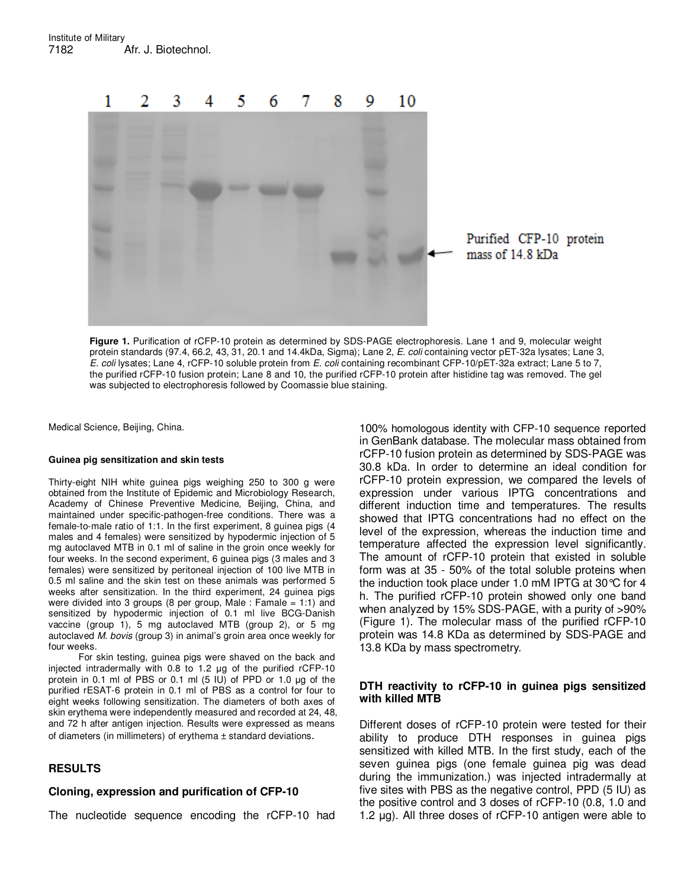

**Figure 1.** Purification of rCFP-10 protein as determined by SDS-PAGE electrophoresis. Lane 1 and 9, molecular weight protein standards (97.4, 66.2, 43, 31, 20.1 and 14.4kDa, Sigma); Lane 2, E. coli containing vector pET-32a lysates; Lane 3, E. coli lysates; Lane 4, rCFP-10 soluble protein from E. coli containing recombinant CFP-10/pET-32a extract; Lane 5 to 7, the purified rCFP-10 fusion protein; Lane 8 and 10, the purified rCFP-10 protein after histidine tag was removed. The gel was subjected to electrophoresis followed by Coomassie blue staining.

Medical Science, Beijing, China.

### **Guinea pig sensitization and skin tests**

Thirty-eight NIH white guinea pigs weighing 250 to 300 g were obtained from the Institute of Epidemic and Microbiology Research, Academy of Chinese Preventive Medicine, Beijing, China, and maintained under specific-pathogen-free conditions. There was a female-to-male ratio of 1:1. In the first experiment, 8 guinea pigs (4 males and 4 females) were sensitized by hypodermic injection of 5 mg autoclaved MTB in 0.1 ml of saline in the groin once weekly for four weeks. In the second experiment, 6 guinea pigs (3 males and 3 females) were sensitized by peritoneal injection of 100 live MTB in 0.5 ml saline and the skin test on these animals was performed 5 weeks after sensitization. In the third experiment, 24 guinea pigs were divided into 3 groups (8 per group, Male : Famale = 1:1) and sensitized by hypodermic injection of 0.1 ml live BCG-Danish vaccine (group 1), 5 mg autoclaved MTB (group 2), or 5 mg autoclaved M. bovis (group 3) in animal's groin area once weekly for four weeks.

For skin testing, guinea pigs were shaved on the back and injected intradermally with 0.8 to 1.2 µg of the purified rCFP-10 protein in 0.1 ml of PBS or 0.1 ml (5 IU) of PPD or 1.0 µg of the purified rESAT-6 protein in 0.1 ml of PBS as a control for four to eight weeks following sensitization. The diameters of both axes of skin erythema were independently measured and recorded at 24, 48, and 72 h after antigen injection. Results were expressed as means of diameters (in millimeters) of erythema ± standard deviations.

## **RESULTS**

### **Cloning, expression and purification of CFP-10**

The nucleotide sequence encoding the rCFP-10 had

100% homologous identity with CFP-10 sequence reported in GenBank database. The molecular mass obtained from rCFP-10 fusion protein as determined by SDS-PAGE was 30.8 kDa. In order to determine an ideal condition for rCFP-10 protein expression, we compared the levels of expression under various IPTG concentrations and different induction time and temperatures. The results showed that IPTG concentrations had no effect on the level of the expression, whereas the induction time and temperature affected the expression level significantly. The amount of rCFP-10 protein that existed in soluble form was at 35 - 50% of the total soluble proteins when the induction took place under 1.0 mM IPTG at 30°C for 4 h. The purified rCFP-10 protein showed only one band when analyzed by 15% SDS-PAGE, with a purity of >90% (Figure 1). The molecular mass of the purified rCFP-10 protein was 14.8 KDa as determined by SDS-PAGE and 13.8 KDa by mass spectrometry.

## **DTH reactivity to rCFP-10 in guinea pigs sensitized with killed MTB**

Different doses of rCFP-10 protein were tested for their ability to produce DTH responses in guinea pigs sensitized with killed MTB. In the first study, each of the seven guinea pigs (one female guinea pig was dead during the immunization.) was injected intradermally at five sites with PBS as the negative control, PPD (5 IU) as the positive control and 3 doses of rCFP-10 (0.8, 1.0 and 1.2 µg). All three doses of rCFP-10 antigen were able to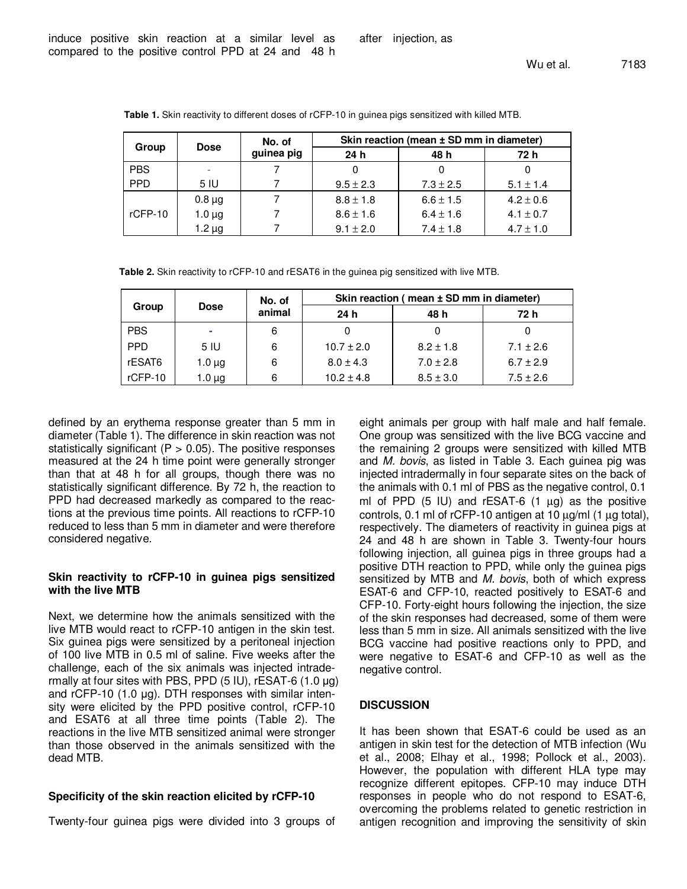| Group      | <b>Dose</b> | No. of     | Skin reaction (mean ± SD mm in diameter) |               |               |  |
|------------|-------------|------------|------------------------------------------|---------------|---------------|--|
|            |             | guinea pig | 24 <sub>h</sub>                          | 48 h          | 72 h          |  |
| <b>PBS</b> |             |            |                                          |               |               |  |
| <b>PPD</b> | 5 IU        |            | $9.5 \pm 2.3$                            | $7.3 \pm 2.5$ | $5.1 \pm 1.4$ |  |
|            | $0.8 \mu$ g |            | $8.8 \pm 1.8$                            | $6.6 \pm 1.5$ | $4.2 \pm 0.6$ |  |
| $rCFP-10$  | $1.0 \mu g$ |            | $8.6 \pm 1.6$                            | $6.4 \pm 1.6$ | $4.1 \pm 0.7$ |  |
|            | $1.2 \mu g$ |            | $9.1 \pm 2.0$                            | $7.4 \pm 1.8$ | $4.7 \pm 1.0$ |  |

**Table 1.** Skin reactivity to different doses of rCFP-10 in guinea pigs sensitized with killed MTB.

**Table 2.** Skin reactivity to rCFP-10 and rESAT6 in the guinea pig sensitized with live MTB.

| Group      | <b>Dose</b> | No. of<br>animal | Skin reaction (mean ± SD mm in diameter) |               |               |  |
|------------|-------------|------------------|------------------------------------------|---------------|---------------|--|
|            |             |                  | 24 <sub>h</sub>                          | 48 h          | 72 h          |  |
| <b>PBS</b> | ÷           | 6                |                                          |               |               |  |
| <b>PPD</b> | 5 IU        | 6                | $10.7 \pm 2.0$                           | $8.2 \pm 1.8$ | $7.1 \pm 2.6$ |  |
| rESAT6     | $1.0 \mu$ g | 6                | $8.0 \pm 4.3$                            | $7.0 \pm 2.8$ | $6.7 \pm 2.9$ |  |
| rCFP-10    | $1.0 \mu$ g | 6                | $10.2 \pm 4.8$                           | $8.5 \pm 3.0$ | $7.5 \pm 2.6$ |  |

defined by an erythema response greater than 5 mm in diameter (Table 1). The difference in skin reaction was not statistically significant ( $P > 0.05$ ). The positive responses measured at the 24 h time point were generally stronger than that at 48 h for all groups, though there was no statistically significant difference. By 72 h, the reaction to PPD had decreased markedly as compared to the reactions at the previous time points. All reactions to rCFP-10 reduced to less than 5 mm in diameter and were therefore considered negative.

## **Skin reactivity to rCFP-10 in guinea pigs sensitized with the live MTB**

Next, we determine how the animals sensitized with the live MTB would react to rCFP-10 antigen in the skin test. Six guinea pigs were sensitized by a peritoneal injection of 100 live MTB in 0.5 ml of saline. Five weeks after the challenge, each of the six animals was injected intradermally at four sites with PBS, PPD (5 IU), rESAT-6 (1.0 µg) and rCFP-10 (1.0 µg). DTH responses with similar intensity were elicited by the PPD positive control, rCFP-10 and ESAT6 at all three time points (Table 2). The reactions in the live MTB sensitized animal were stronger than those observed in the animals sensitized with the dead MTB.

## **Specificity of the skin reaction elicited by rCFP-10**

Twenty-four guinea pigs were divided into 3 groups of

eight animals per group with half male and half female. One group was sensitized with the live BCG vaccine and the remaining 2 groups were sensitized with killed MTB and M. bovis, as listed in Table 3. Each guinea pig was injected intradermally in four separate sites on the back of the animals with 0.1 ml of PBS as the negative control, 0.1 ml of PPD  $(5 \text{ IU})$  and rESAT-6  $(1 \text{ µg})$  as the positive controls, 0.1 ml of rCFP-10 antigen at 10 µg/ml (1 µg total), respectively. The diameters of reactivity in guinea pigs at 24 and 48 h are shown in Table 3. Twenty-four hours following injection, all guinea pigs in three groups had a positive DTH reaction to PPD, while only the guinea pigs sensitized by MTB and M. bovis, both of which express ESAT-6 and CFP-10, reacted positively to ESAT-6 and CFP-10. Forty-eight hours following the injection, the size of the skin responses had decreased, some of them were less than 5 mm in size. All animals sensitized with the live BCG vaccine had positive reactions only to PPD, and were negative to ESAT-6 and CFP-10 as well as the negative control.

## **DISCUSSION**

It has been shown that ESAT-6 could be used as an antigen in skin test for the detection of MTB infection (Wu et al., 2008; Elhay et al., 1998; Pollock et al., 2003). However, the population with different HLA type may recognize different epitopes. CFP-10 may induce DTH responses in people who do not respond to ESAT-6, overcoming the problems related to genetic restriction in antigen recognition and improving the sensitivity of skin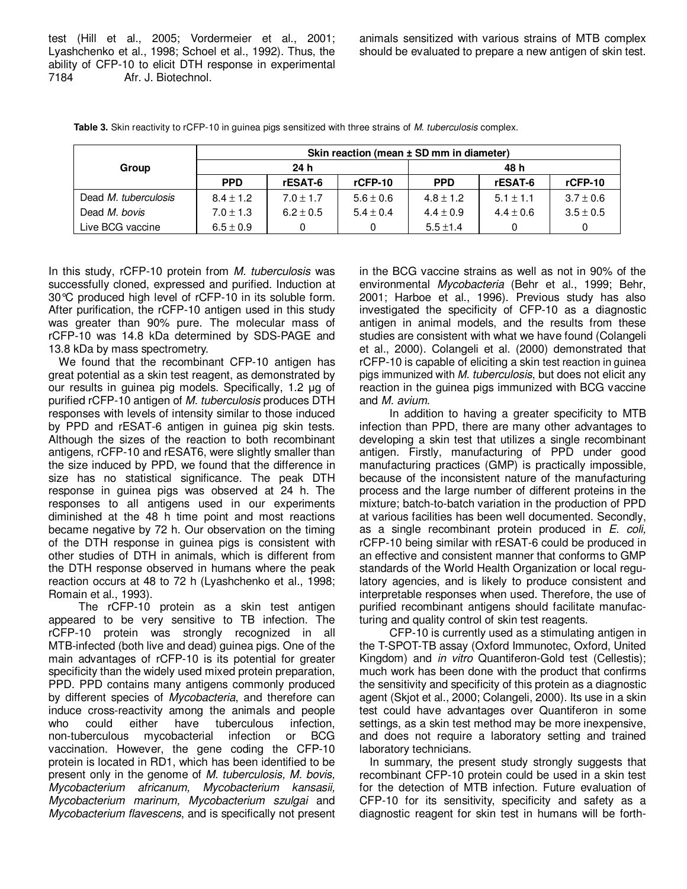test (Hill et al., 2005; Vordermeier et al., 2001; Lyashchenko et al., 1998; Schoel et al., 1992). Thus, the ability of CFP-10 to elicit DTH response in experimental 7184 Afr. J. Biotechnol.

animals sensitized with various strains of MTB complex should be evaluated to prepare a new antigen of skin test.

|                      | Skin reaction (mean ± SD mm in diameter) |               |               |               |               |               |  |  |
|----------------------|------------------------------------------|---------------|---------------|---------------|---------------|---------------|--|--|
| Group                | 24h                                      |               |               | 48 h          |               |               |  |  |
|                      | <b>PPD</b>                               | rESAT-6       | $r$ CFP-10    | <b>PPD</b>    | rESAT-6       | $r$ CFP-10    |  |  |
| Dead M. tuberculosis | $8.4 \pm 1.2$                            | $7.0 \pm 1.7$ | $5.6 \pm 0.6$ | $4.8 \pm 1.2$ | $5.1 \pm 1.1$ | $3.7 \pm 0.6$ |  |  |
| Dead M. bovis        | $7.0 \pm 1.3$                            | $6.2 \pm 0.5$ | $5.4 \pm 0.4$ | $4.4 \pm 0.9$ | $4.4 \pm 0.6$ | $3.5 \pm 0.5$ |  |  |
| Live BCG vaccine     | $6.5 \pm 0.9$                            |               |               | $5.5 \pm 1.4$ |               |               |  |  |

**Table 3.** Skin reactivity to rCFP-10 in guinea pigs sensitized with three strains of M. tuberculosis complex.

In this study, rCFP-10 protein from M. tuberculosis was successfully cloned, expressed and purified. Induction at 30°C produced high level of rCFP-10 in its soluble form. After purification, the rCFP-10 antigen used in this study was greater than 90% pure. The molecular mass of rCFP-10 was 14.8 kDa determined by SDS-PAGE and 13.8 kDa by mass spectrometry.

We found that the recombinant CFP-10 antigen has great potential as a skin test reagent, as demonstrated by our results in guinea pig models. Specifically, 1.2 µg of purified rCFP-10 antigen of M. tuberculosis produces DTH responses with levels of intensity similar to those induced by PPD and rESAT-6 antigen in guinea pig skin tests. Although the sizes of the reaction to both recombinant antigens, rCFP-10 and rESAT6, were slightly smaller than the size induced by PPD, we found that the difference in size has no statistical significance. The peak DTH response in guinea pigs was observed at 24 h. The responses to all antigens used in our experiments diminished at the 48 h time point and most reactions became negative by 72 h. Our observation on the timing of the DTH response in guinea pigs is consistent with other studies of DTH in animals, which is different from the DTH response observed in humans where the peak reaction occurs at 48 to 72 h (Lyashchenko et al., 1998; Romain et al., 1993).

The rCFP-10 protein as a skin test antigen appeared to be very sensitive to TB infection. The rCFP-10 protein was strongly recognized in all MTB-infected (both live and dead) guinea pigs. One of the main advantages of rCFP-10 is its potential for greater specificity than the widely used mixed protein preparation, PPD. PPD contains many antigens commonly produced by different species of Mycobacteria, and therefore can induce cross-reactivity among the animals and people who could either have tuberculous infection,<br>non-tuberculous mycobacterial infection or BCG mycobacterial infection or BCG vaccination. However, the gene coding the CFP-10 protein is located in RD1, which has been identified to be present only in the genome of M. tuberculosis, M. bovis, Mycobacterium africanum, Mycobacterium kansasii, Mycobacterium marinum, Mycobacterium szulgai and Mycobacterium flavescens, and is specifically not present

in the BCG vaccine strains as well as not in 90% of the environmental Mycobacteria (Behr et al., 1999; Behr, 2001; Harboe et al., 1996). Previous study has also investigated the specificity of CFP-10 as a diagnostic antigen in animal models, and the results from these studies are consistent with what we have found (Colangeli et al., 2000). Colangeli et al. (2000) demonstrated that rCFP-10 is capable of eliciting a skin test reaction in guinea pigs immunized with M. tuberculosis, but does not elicit any reaction in the guinea pigs immunized with BCG vaccine and M. avium.

In addition to having a greater specificity to MTB infection than PPD, there are many other advantages to developing a skin test that utilizes a single recombinant antigen. Firstly, manufacturing of PPD under good manufacturing practices (GMP) is practically impossible, because of the inconsistent nature of the manufacturing process and the large number of different proteins in the mixture; batch-to-batch variation in the production of PPD at various facilities has been well documented. Secondly, as a single recombinant protein produced in E. coli, rCFP-10 being similar with rESAT-6 could be produced in an effective and consistent manner that conforms to GMP standards of the World Health Organization or local regulatory agencies, and is likely to produce consistent and interpretable responses when used. Therefore, the use of purified recombinant antigens should facilitate manufacturing and quality control of skin test reagents.

CFP-10 is currently used as a stimulating antigen in the T-SPOT-TB assay (Oxford Immunotec, Oxford, United Kingdom) and in vitro Quantiferon-Gold test (Cellestis); much work has been done with the product that confirms the sensitivity and specificity of this protein as a diagnostic agent (Skjot et al., 2000; Colangeli, 2000). Its use in a skin test could have advantages over Quantiferon in some settings, as a skin test method may be more inexpensive, and does not require a laboratory setting and trained laboratory technicians.

In summary, the present study strongly suggests that recombinant CFP-10 protein could be used in a skin test for the detection of MTB infection. Future evaluation of CFP-10 for its sensitivity, specificity and safety as a diagnostic reagent for skin test in humans will be forth-